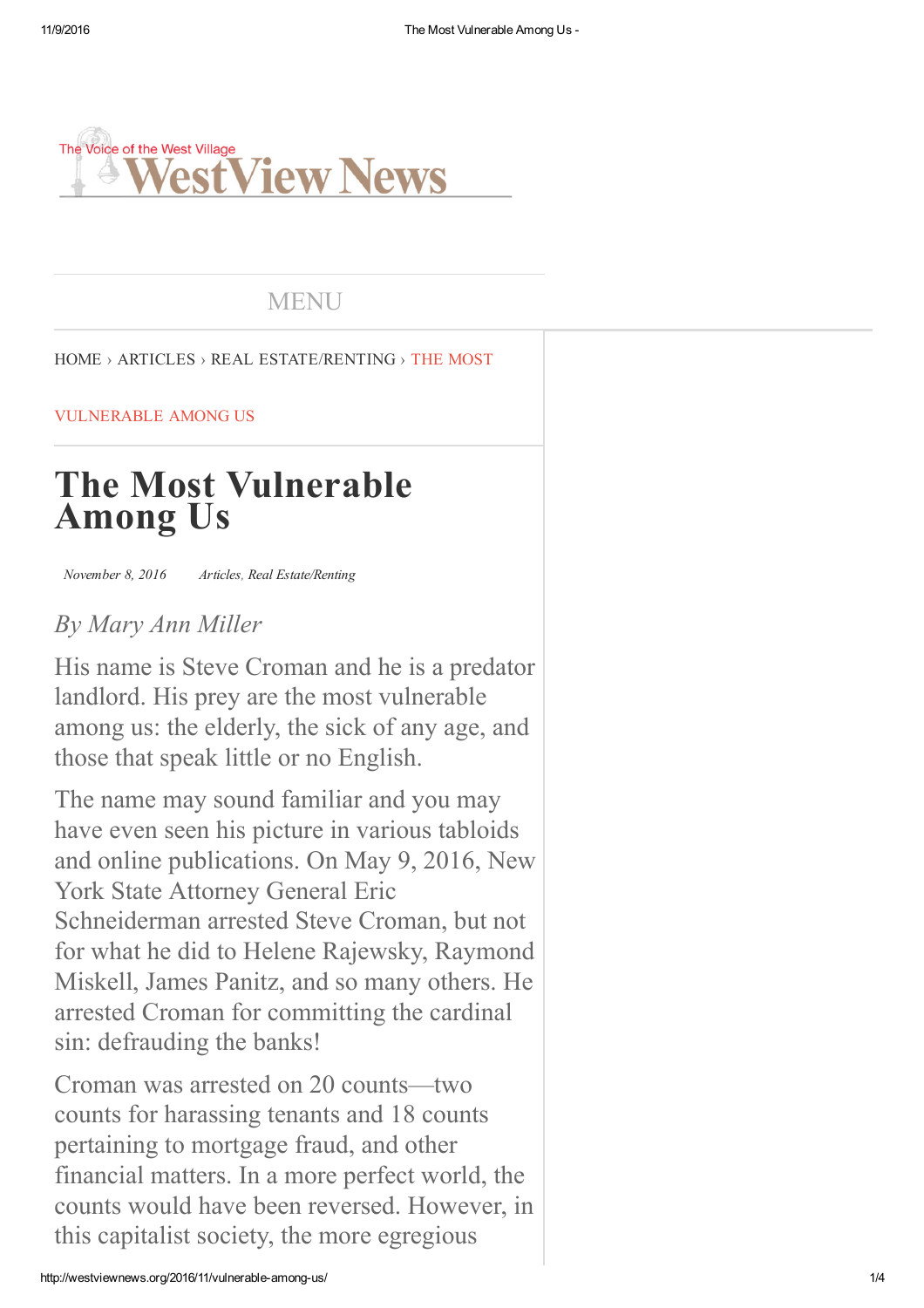

## MENU

#### HOME › ARTICLES › REAL ESTATE/RENTING › THE MOST

#### VULNERABLE AMONG US

# **The Most Vulnerable Among Us**

 *November 8, 2016 Articles, Real Estate/Renting*

### *By Mary Ann Miller*

His name is Steve Croman and he is a predator landlord. His prey are the most vulnerable among us: the elderly, the sick of any age, and those that speak little or no English.

The name may sound familiar and you may have even seen his picture in various tabloids and online publications. On May 9, 2016, New York State Attorney General Eric Schneiderman arrested Steve Croman, but not for what he did to Helene Rajewsky, Raymond Miskell, James Panitz, and so many others. He arrested Croman for committing the cardinal sin: defrauding the banks!

Croman was arrested on 20 counts—two counts for harassing tenants and 18 counts pertaining to mortgage fraud, and other financial matters. In a more perfect world, the counts would have been reversed. However, in this capitalist society, the more egregious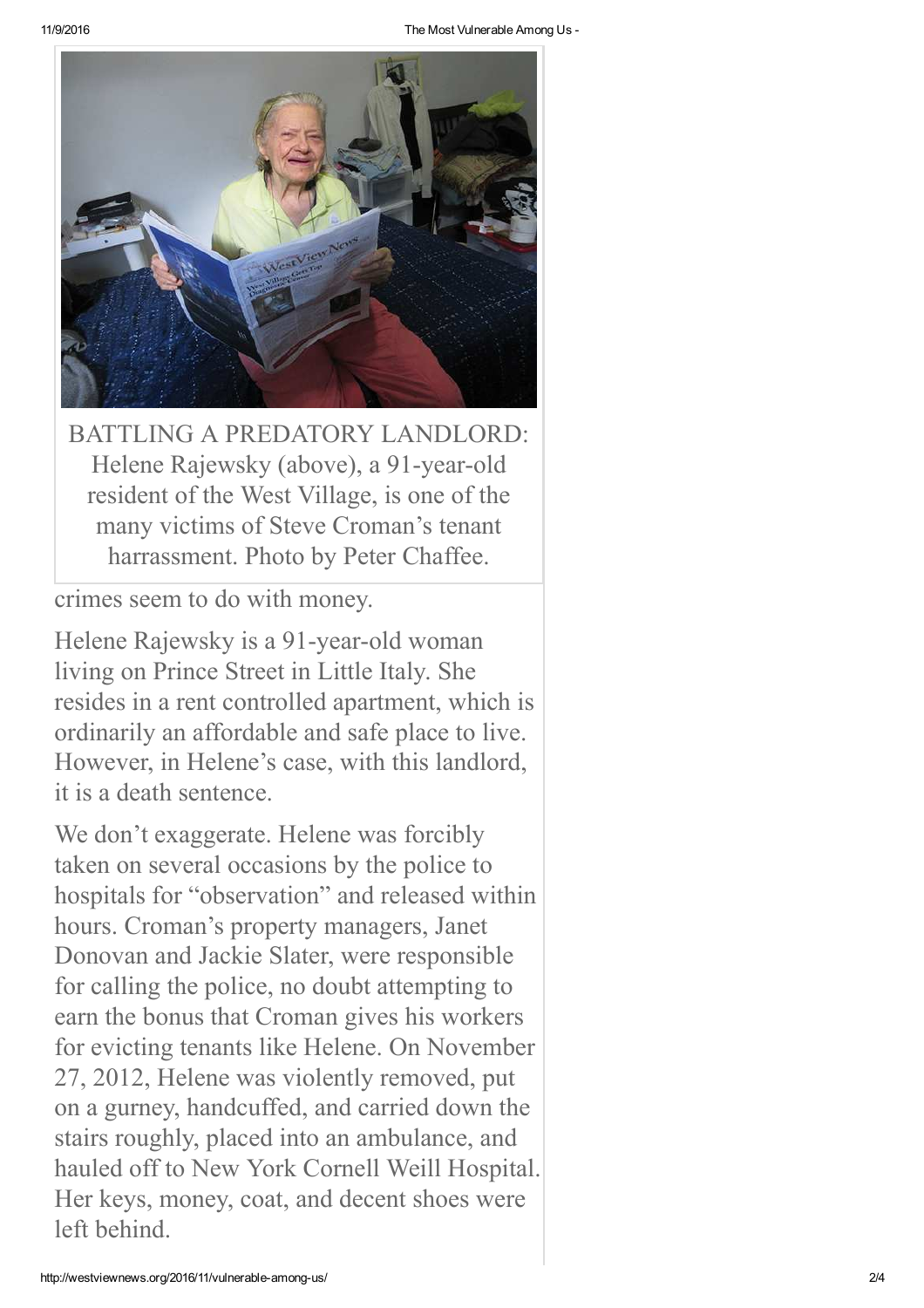

BATTLING A PREDATORY LANDLORD: Helene Rajewsky (above), a 91-year-old resident of the West Village, is one of the many victims of Steve Croman's tenant harrassment. Photo by Peter Chaffee.

crimes seem to do with money.

Helene Rajewsky is a 91-year-old woman living on Prince Street in Little Italy. She resides in a rent controlled apartment, which is ordinarily an affordable and safe place to live. However, in Helene's case, with this landlord, it is a death sentence.

We don't exaggerate. Helene was forcibly taken on several occasions by the police to hospitals for "observation" and released within hours. Croman's property managers, Janet Donovan and Jackie Slater, were responsible for calling the police, no doubt attempting to earn the bonus that Croman gives his workers for evicting tenants like Helene. On November 27, 2012, Helene was violently removed, put on a gurney, handcuffed, and carried down the stairs roughly, placed into an ambulance, and hauled off to New York Cornell Weill Hospital. Her keys, money, coat, and decent shoes were left behind.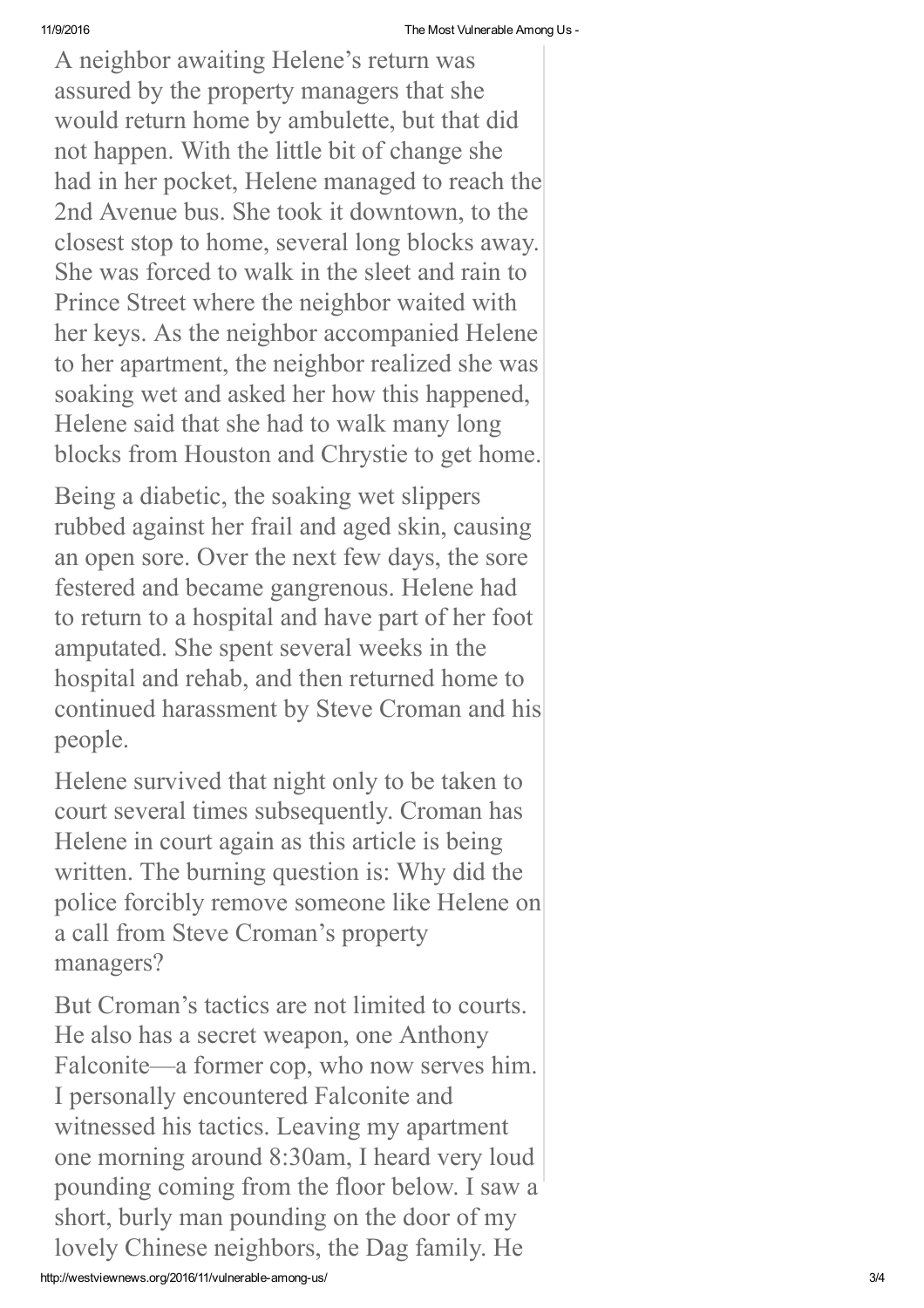A neighbor awaiting Helene's return was assured by the property managers that she would return home by ambulette, but that did not happen. With the little bit of change she had in her pocket, Helene managed to reach the 2nd Avenue bus. She took it downtown, to the closest stop to home, several long blocks away. She was forced to walk in the sleet and rain to Prince Street where the neighbor waited with her keys. As the neighbor accompanied Helene to her apartment, the neighbor realized she was soaking wet and asked her how this happened, Helene said that she had to walk many long blocks from Houston and Chrystie to get home.

Being a diabetic, the soaking wet slippers rubbed against her frail and aged skin, causing an open sore. Over the next few days, the sore festered and became gangrenous. Helene had to return to a hospital and have part of her foot amputated. She spent several weeks in the hospital and rehab, and then returned home to continued harassment by Steve Croman and his people.

Helene survived that night only to be taken to court several times subsequently. Croman has Helene in court again as this article is being written. The burning question is: Why did the police forcibly remove someone like Helene on a call from Steve Croman's property managers?

But Croman's tactics are not limited to courts. He also has a secret weapon, one Anthony Falconite—a former cop, who now serves him. I personally encountered Falconite and witnessed his tactics. Leaving my apartment one morning around 8:30am, I heard very loud pounding coming from the floor below. I saw a short, burly man pounding on the door of my lovely Chinese neighbors, the Dag family. He